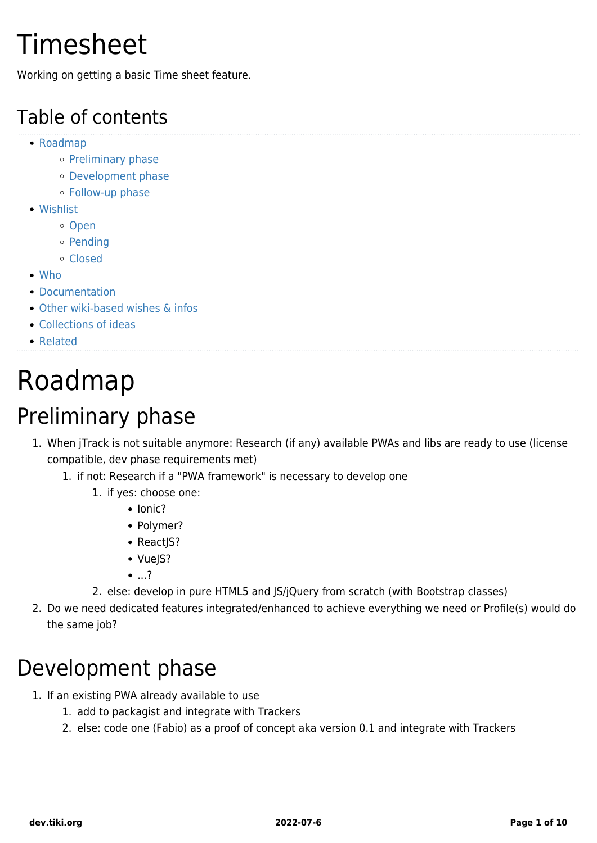## Timesheet

Working on getting a basic Time sheet feature.

#### Table of contents

- [Roadmap](#page--1-0)
	- o [Preliminary phase](#page--1-0)
	- [Development phase](#page--1-0)
	- [Follow-up phase](#page--1-0)
- [Wishlist](#page--1-0)
	- o [Open](#page--1-0)
	- o [Pending](#page--1-0)
	- [Closed](#page--1-0)
- [Who](#page--1-0)
- [Documentation](#page--1-0)
- [Other wiki-based wishes & infos](#page--1-0)
- [Collections of ideas](#page--1-0)
- [Related](#page--1-0)

# Roadmap

### Preliminary phase

- 1. When jTrack is not suitable anymore: Research (if any) available PWAs and libs are ready to use (license compatible, dev phase requirements met)
	- 1. if not: Research if a "PWA framework" is necessary to develop one
		- 1. if yes: choose one:
			- $\bullet$  Ionic?
			- Polymer?
			- ReactJS?
			- VueJS?
			- ...?
		- 2. else: develop in pure HTML5 and JS/jQuery from scratch (with Bootstrap classes)
- 2. Do we need dedicated features integrated/enhanced to achieve everything we need or Profile(s) would do the same job?

### Development phase

- 1. If an existing PWA already available to use
	- 1. add to packagist and integrate with Trackers
	- 2. else: code one (Fabio) as a proof of concept aka version 0.1 and integrate with Trackers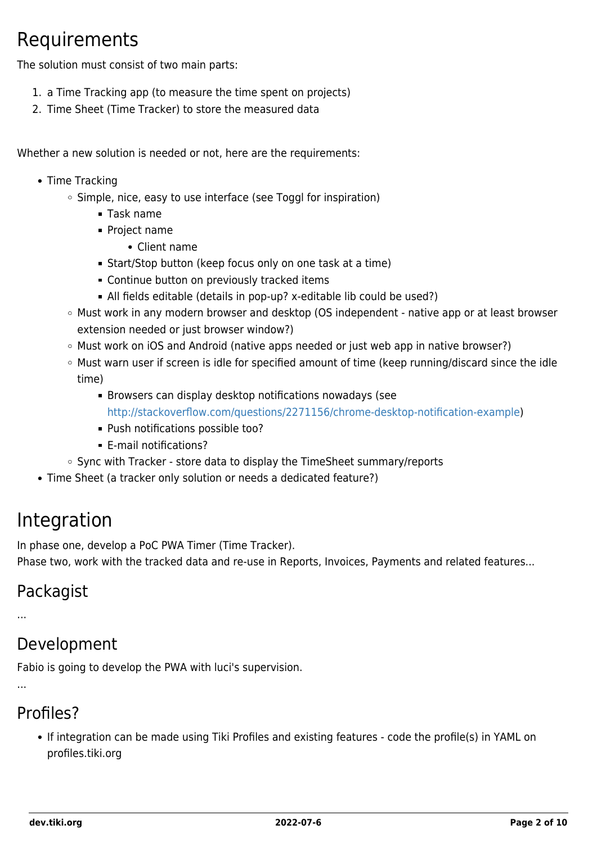#### Requirements

The solution must consist of two main parts:

- 1. a Time Tracking app (to measure the time spent on projects)
- 2. Time Sheet (Time Tracker) to store the measured data

Whether a new solution is needed or not, here are the requirements:

- Time Tracking
	- Simple, nice, easy to use interface (see Toggl for inspiration)
		- Task name
		- **Project name** 
			- Client name
		- Start/Stop button (keep focus only on one task at a time)
		- **Continue button on previously tracked items**
		- All fields editable (details in pop-up? x-editable lib could be used?)
	- Must work in any modern browser and desktop (OS independent native app or at least browser extension needed or just browser window?)
	- o Must work on iOS and Android (native apps needed or just web app in native browser?)
	- Must warn user if screen is idle for specified amount of time (keep running/discard since the idle time)
		- Browsers can display desktop notifications nowadays (see [http://stackoverflow.com/questions/2271156/chrome-desktop-notification-example\)](http://stackoverflow.com/questions/2271156/chrome-desktop-notification-example)
		- Push notifications possible too?
		- E-mail notifications?
	- Sync with Tracker store data to display the TimeSheet summary/reports
- Time Sheet (a tracker only solution or needs a dedicated feature?)

#### Integration

In phase one, develop a PoC PWA Timer (Time Tracker).

Phase two, work with the tracked data and re-use in Reports, Invoices, Payments and related features...

#### Packagist

...

#### Development

Fabio is going to develop the PWA with luci's supervision.

...

#### Profiles?

If integration can be made using Tiki Profiles and existing features - code the profile(s) in YAML on profiles.tiki.org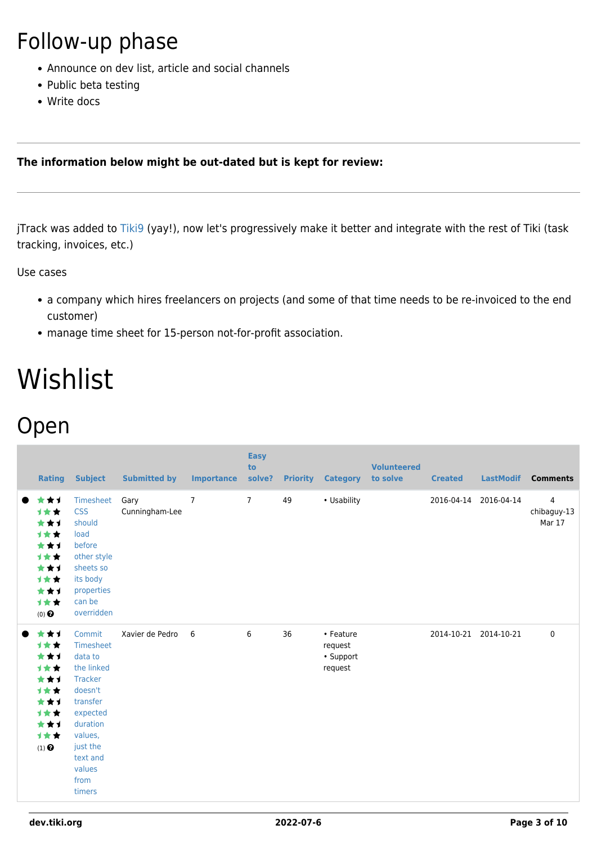### Follow-up phase

- Announce on dev list, article and social channels
- Public beta testing
- Write docs

#### **The information below might be out-dated but is kept for review:**

jTrack was added to [Tiki9](https://dev.tiki.org/Tiki9) (yay!), now let's progressively make it better and integrate with the rest of Tiki (task tracking, invoices, etc.)

Use cases

- a company which hires freelancers on projects (and some of that time needs to be re-invoiced to the end customer)
- manage time sheet for 15-person not-for-profit association.

## Wishlist

#### Open

|           | <b>Rating</b>                                                                                     | <b>Subject</b>                                                                                                                                                               | <b>Submitted by</b>    | <b>Importance</b> | <b>Easy</b><br>to<br>solve? |    | <b>Priority Category</b>                     | <b>Volunteered</b><br>to solve | <b>Created</b> | <b>LastModif</b> | <b>Comments</b>                         |
|-----------|---------------------------------------------------------------------------------------------------|------------------------------------------------------------------------------------------------------------------------------------------------------------------------------|------------------------|-------------------|-----------------------------|----|----------------------------------------------|--------------------------------|----------------|------------------|-----------------------------------------|
|           | ***<br>1★★<br>***<br>计女女<br>***<br>计女女<br>***<br><b>1**</b><br>***<br>计女女<br>$(0)$ $\odot$        | Timesheet<br><b>CSS</b><br>should<br>load<br>before<br>other style<br>sheets so<br>its body<br>properties<br>can be<br>overridden                                            | Gary<br>Cunningham-Lee | $\overline{7}$    | $7^{\circ}$                 | 49 | • Usability                                  |                                | 2016-04-14     | 2016-04-14       | $\overline{4}$<br>chibaguy-13<br>Mar 17 |
| $\bullet$ | ***<br><b>1**</b><br>***<br>计女女<br>***<br>计女女<br>***<br><b>1**</b><br>***<br>计女女<br>$(1)$ $\odot$ | Commit<br>Timesheet<br>data to<br>the linked<br><b>Tracker</b><br>doesn't<br>transfer<br>expected<br>duration<br>values,<br>just the<br>text and<br>values<br>from<br>timers | Xavier de Pedro        | 6                 | 6                           | 36 | • Feature<br>request<br>• Support<br>request |                                | 2014-10-21     | 2014-10-21       | $\mathbf 0$                             |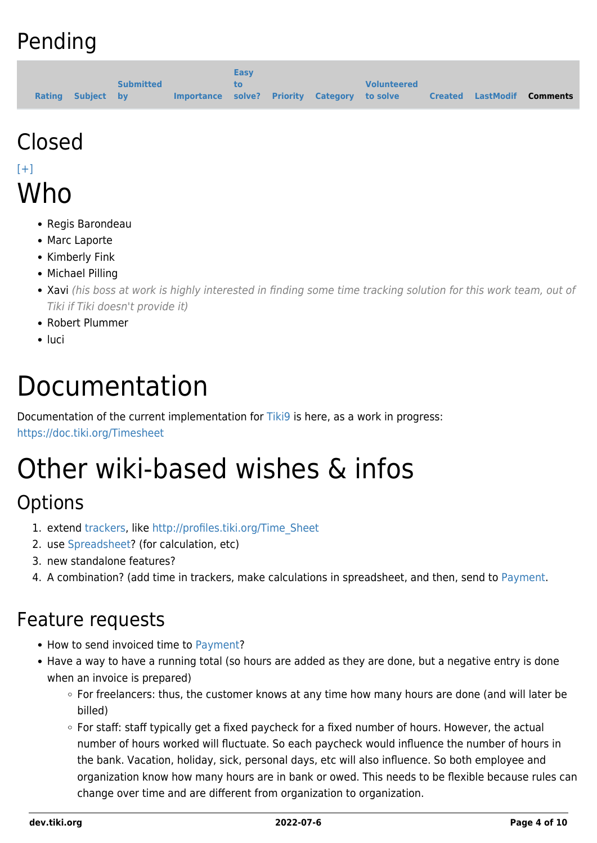### Pending

|                   |                  |                                              | <b>Easy</b> |  |                    |  |                                   |
|-------------------|------------------|----------------------------------------------|-------------|--|--------------------|--|-----------------------------------|
|                   | <b>Submitted</b> |                                              | tο          |  | <b>Volunteered</b> |  |                                   |
| Rating Subject by |                  | Importance solve? Priority Category to solve |             |  |                    |  | <b>Created LastModif Comments</b> |

# Closed

#### $[+]$ Who

- Regis Barondeau
- Marc Laporte
- Kimberly Fink
- Michael Pilling
- Xavi (his boss at work is highly interested in finding some time tracking solution for this work team, out of Tiki if Tiki doesn't provide it)
- Robert Plummer
- luci

## Documentation

Documentation of the current implementation for [Tiki9](https://dev.tiki.org/Tiki9) is here, as a work in progress:

<https://doc.tiki.org/Timesheet>

# Other wiki-based wishes & infos

#### **Options**

- 1. extend [trackers](https://dev.tiki.org/Trackers), like [http://profiles.tiki.org/Time\\_Sheet](http://profiles.tiki.org/Time_Sheet)
- 2. use [Spreadsheet](https://dev.tiki.org/Spreadsheet)? (for calculation, etc)
- 3. new standalone features?
- 4. A combination? (add time in trackers, make calculations in spreadsheet, and then, send to [Payment.](https://dev.tiki.org/Payment)

#### Feature requests

- How to send invoiced time to [Payment?](https://dev.tiki.org/Payment)
- Have a way to have a running total (so hours are added as they are done, but a negative entry is done when an invoice is prepared)
	- For freelancers: thus, the customer knows at any time how many hours are done (and will later be billed)
	- For staff: staff typically get a fixed paycheck for a fixed number of hours. However, the actual number of hours worked will fluctuate. So each paycheck would influence the number of hours in the bank. Vacation, holiday, sick, personal days, etc will also influence. So both employee and organization know how many hours are in bank or owed. This needs to be flexible because rules can change over time and are different from organization to organization.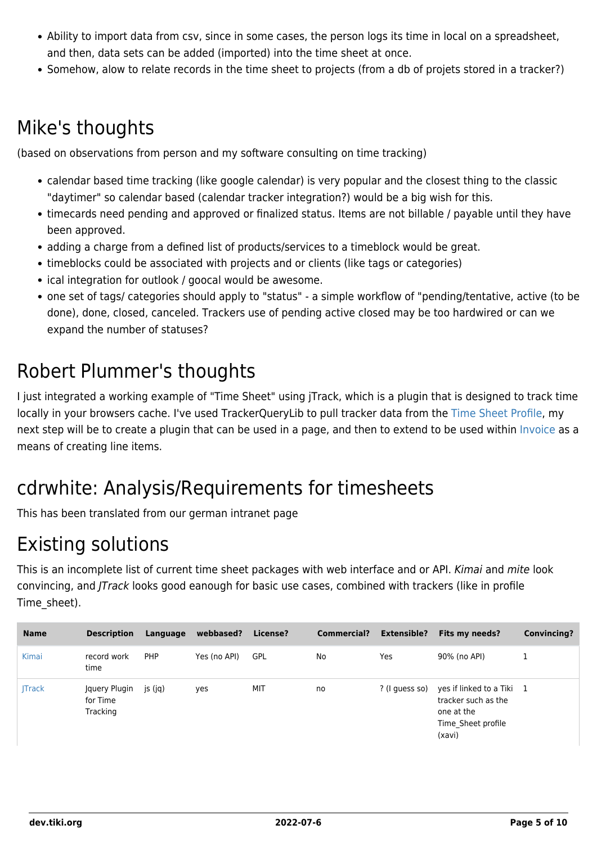- Ability to import data from csv, since in some cases, the person logs its time in local on a spreadsheet, and then, data sets can be added (imported) into the time sheet at once.
- Somehow, alow to relate records in the time sheet to projects (from a db of projets stored in a tracker?)

#### Mike's thoughts

(based on observations from person and my software consulting on time tracking)

- calendar based time tracking (like google calendar) is very popular and the closest thing to the classic "daytimer" so calendar based (calendar tracker integration?) would be a big wish for this.
- timecards need pending and approved or finalized status. Items are not billable / payable until they have been approved.
- adding a charge from a defined list of products/services to a timeblock would be great.
- timeblocks could be associated with projects and or clients (like tags or categories)
- ical integration for outlook / goocal would be awesome.
- one set of tags/ categories should apply to "status" a simple workflow of "pending/tentative, active (to be done), done, closed, canceled. Trackers use of pending active closed may be too hardwired or can we expand the number of statuses?

#### Robert Plummer's thoughts

I just integrated a working example of "Time Sheet" using jTrack, which is a plugin that is designed to track time locally in your browsers cache. I've used TrackerQueryLib to pull tracker data from the [Time Sheet Profile,](http://profiles.tiki.org/Time_Sheet) my next step will be to create a plugin that can be used in a page, and then to extend to be used within [Invoice](https://dev.tiki.org/Invoice) as a means of creating line items.

#### cdrwhite: Analysis/Requirements for timesheets

This has been translated from our german intranet page

#### Existing solutions

This is an incomplete list of current time sheet packages with web interface and or API. Kimai and mite look convincing, and JTrack looks good eanough for basic use cases, combined with trackers (like in profile Time\_sheet).

| <b>Name</b>  | <b>Description</b>                    | Language   | webbased?    | License?   | <b>Commercial?</b> | <b>Extensible?</b> | Fits my needs?                                                                                 | <b>Convincing?</b> |
|--------------|---------------------------------------|------------|--------------|------------|--------------------|--------------------|------------------------------------------------------------------------------------------------|--------------------|
| Kimai        | record work<br>time                   | <b>PHP</b> | Yes (no API) | <b>GPL</b> | No                 | Yes                | 90% (no API)                                                                                   |                    |
| <b>Track</b> | Jquery Plugin<br>for Time<br>Tracking | js (jq)    | yes          | MIT        | no                 | ? (I quess so)     | yes if linked to a Tiki 1<br>tracker such as the<br>one at the<br>Time Sheet profile<br>(xavi) |                    |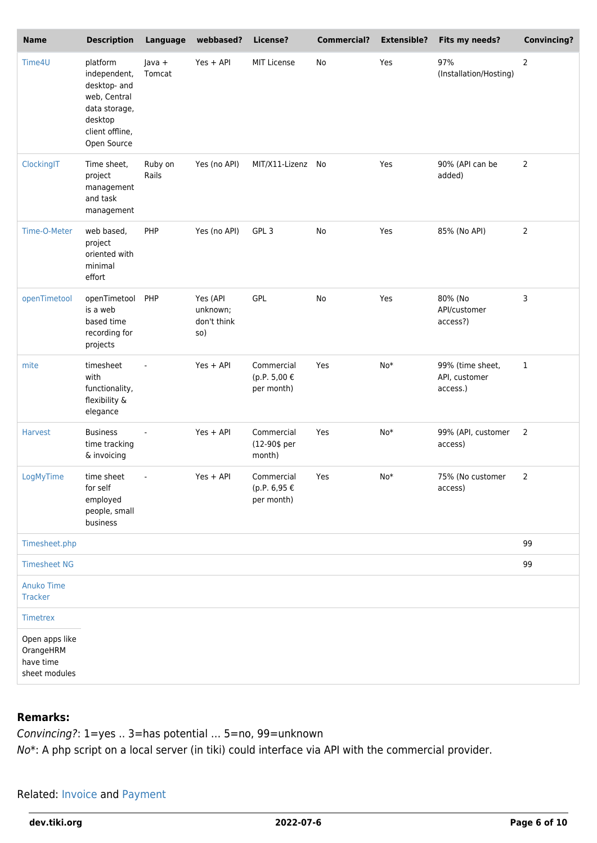| <b>Name</b>                                               | <b>Description</b>                                                                                                     | Language           | webbased?                                  | License?                                 | <b>Commercial?</b> | <b>Extensible?</b> | Fits my needs?                                | <b>Convincing?</b> |
|-----------------------------------------------------------|------------------------------------------------------------------------------------------------------------------------|--------------------|--------------------------------------------|------------------------------------------|--------------------|--------------------|-----------------------------------------------|--------------------|
| Time4U                                                    | platform<br>independent,<br>desktop- and<br>web, Central<br>data storage,<br>desktop<br>client offline,<br>Open Source | $Java +$<br>Tomcat | Yes + API                                  | <b>MIT License</b>                       | No                 | Yes                | 97%<br>(Installation/Hosting)                 | $\overline{2}$     |
| ClockingIT                                                | Time sheet,<br>project<br>management<br>and task<br>management                                                         | Ruby on<br>Rails   | Yes (no API)                               | MIT/X11-Lizenz No                        |                    | Yes                | 90% (API can be<br>added)                     | 2                  |
| Time-O-Meter                                              | web based,<br>project<br>oriented with<br>minimal<br>effort                                                            | PHP                | Yes (no API)                               | GPL <sub>3</sub>                         | No                 | Yes                | 85% (No API)                                  | $\overline{2}$     |
| openTimetool                                              | openTimetool<br>is a web<br>based time<br>recording for<br>projects                                                    | PHP                | Yes (API<br>unknown;<br>don't think<br>so) | <b>GPL</b>                               | No                 | Yes                | 80% (No<br>API/customer<br>access?)           | 3                  |
| mite                                                      | timesheet<br>with<br>functionality,<br>flexibility &<br>elegance                                                       | $\blacksquare$     | Yes + API                                  | Commercial<br>(p.P. 5,00 €<br>per month) | Yes                | $No*$              | 99% (time sheet,<br>API, customer<br>access.) | $\mathbf{1}$       |
| <b>Harvest</b>                                            | <b>Business</b><br>time tracking<br>& invoicing                                                                        |                    | $Yes + API$                                | Commercial<br>(12-90\$ per<br>month)     | Yes                | $No*$              | 99% (API, customer<br>access)                 | $\overline{2}$     |
| LogMyTime                                                 | time sheet<br>for self<br>employed<br>people, small<br>business                                                        | $\sim$             | $Yes + API$                                | Commercial<br>(p.P. 6,95 €<br>per month) | Yes                | $No*$              | 75% (No customer<br>access)                   | 2                  |
| Timesheet.php                                             |                                                                                                                        |                    |                                            |                                          |                    |                    |                                               | 99                 |
| <b>Timesheet NG</b>                                       |                                                                                                                        |                    |                                            |                                          |                    |                    |                                               | 99                 |
| <b>Anuko Time</b><br>Tracker                              |                                                                                                                        |                    |                                            |                                          |                    |                    |                                               |                    |
| Timetrex                                                  |                                                                                                                        |                    |                                            |                                          |                    |                    |                                               |                    |
| Open apps like<br>OrangeHRM<br>have time<br>sheet modules |                                                                                                                        |                    |                                            |                                          |                    |                    |                                               |                    |

#### **Remarks:**

Convincing?: 1=yes .. 3=has potential … 5=no, 99=unknown

No\*: A php script on a local server (in tiki) could interface via API with the commercial provider.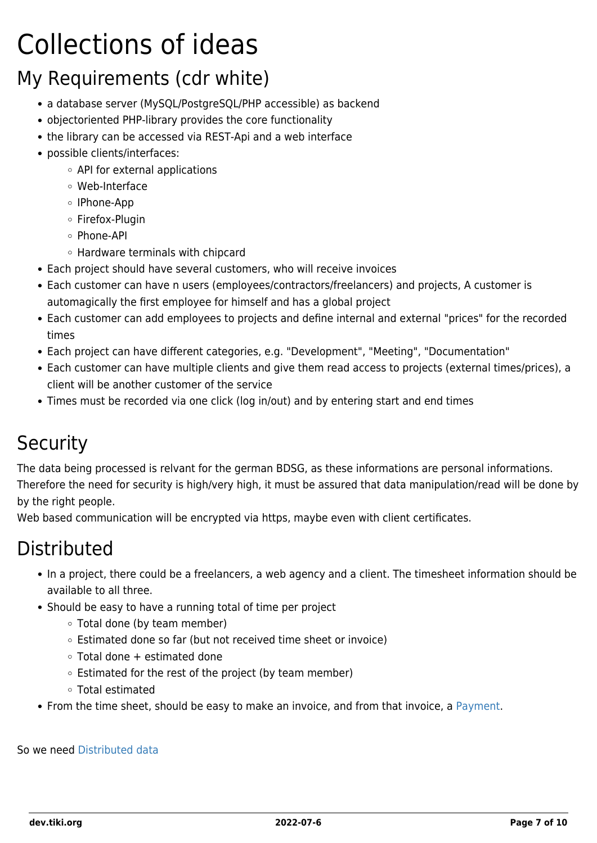# Collections of ideas

### My Requirements (cdr white)

- a database server (MySQL/PostgreSQL/PHP accessible) as backend
- objectoriented PHP-library provides the core functionality
- the library can be accessed via REST-Api and a web interface
- possible clients/interfaces:
	- API for external applications
	- Web-Interface
	- IPhone-App
	- Firefox-Plugin
	- Phone-API
	- Hardware terminals with chipcard
- Each project should have several customers, who will receive invoices
- Each customer can have n users (employees/contractors/freelancers) and projects, A customer is automagically the first employee for himself and has a global project
- Each customer can add employees to projects and define internal and external "prices" for the recorded times
- Each project can have different categories, e.g. "Development", "Meeting", "Documentation"
- Each customer can have multiple clients and give them read access to projects (external times/prices), a client will be another customer of the service
- Times must be recorded via one click (log in/out) and by entering start and end times

### **Security**

The data being processed is relvant for the german BDSG, as these informations are personal informations. Therefore the need for security is high/very high, it must be assured that data manipulation/read will be done by by the right people.

Web based communication will be encrypted via https, maybe even with client certificates.

#### **Distributed**

- In a project, there could be a freelancers, a web agency and a client. The timesheet information should be available to all three.
- Should be easy to have a running total of time per project
	- Total done (by team member)
	- Estimated done so far (but not received time sheet or invoice)
	- Total done + estimated done
	- Estimated for the rest of the project (by team member)
	- Total estimated
- From the time sheet, should be easy to make an invoice, and from that invoice, a [Payment.](https://dev.tiki.org/Payment)

So we need [Distributed data](https://dev.tiki.org/Distributed-data)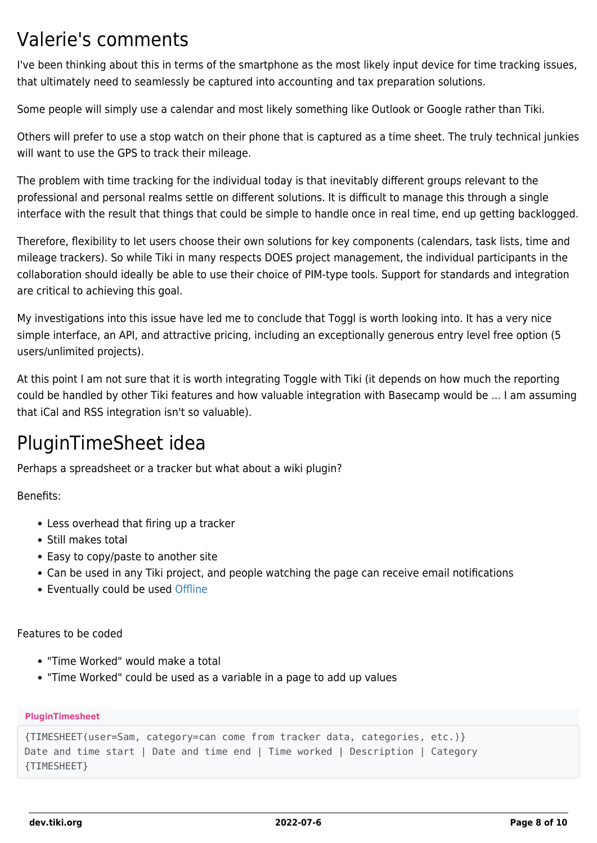#### Valerie's comments

I've been thinking about this in terms of the smartphone as the most likely input device for time tracking issues, that ultimately need to seamlessly be captured into accounting and tax preparation solutions.

Some people will simply use a calendar and most likely something like Outlook or Google rather than Tiki.

Others will prefer to use a stop watch on their phone that is captured as a time sheet. The truly technical junkies will want to use the GPS to track their mileage.

The problem with time tracking for the individual today is that inevitably different groups relevant to the professional and personal realms settle on different solutions. It is difficult to manage this through a single interface with the result that things that could be simple to handle once in real time, end up getting backlogged.

Therefore, flexibility to let users choose their own solutions for key components (calendars, task lists, time and mileage trackers). So while Tiki in many respects DOES project management, the individual participants in the collaboration should ideally be able to use their choice of PIM-type tools. Support for standards and integration are critical to achieving this goal.

My investigations into this issue have led me to conclude that Toggl is worth looking into. It has a very nice simple interface, an API, and attractive pricing, including an exceptionally generous entry level free option (5 users/unlimited projects).

At this point I am not sure that it is worth integrating Toggle with Tiki (it depends on how much the reporting could be handled by other Tiki features and how valuable integration with Basecamp would be ... I am assuming that iCal and RSS integration isn't so valuable).

#### PluginTimeSheet idea

Perhaps a spreadsheet or a tracker but what about a wiki plugin?

Benefits:

- Less overhead that firing up a tracker
- Still makes total
- Easy to copy/paste to another site
- Can be used in any Tiki project, and people watching the page can receive email notifications
- Eventually could be used [Offline](https://dev.tiki.org/Offline)

Features to be coded

- "Time Worked" would make a total
- "Time Worked" could be used as a variable in a page to add up values

**PluginTimesheet**

```
{TIMESHEET(user=Sam, category=can come from tracker data, categories, etc.)}
Date and time start | Date and time end | Time worked | Description | Category
{TIMESHEET}
```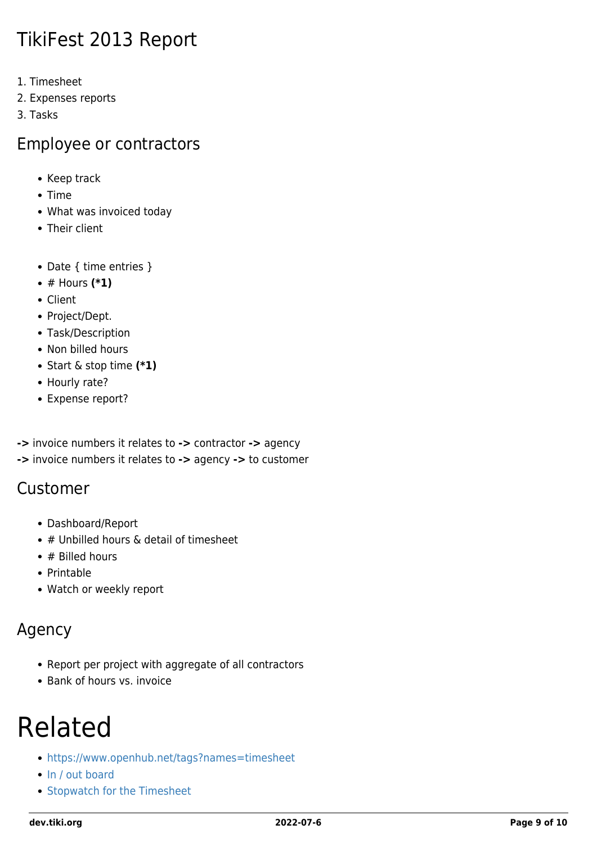#### TikiFest 2013 Report

- 1. Timesheet
- 2. Expenses reports
- 3. Tasks

#### Employee or contractors

- Keep track
- Time
- What was invoiced today
- Their client
- Date { time entries }
- # Hours **(\*1)**
- Client
- Project/Dept.
- Task/Description
- Non billed hours
- Start & stop time **(\*1)**
- Hourly rate?
- Expense report?
- **->** invoice numbers it relates to **->** contractor **->** agency
- **->** invoice numbers it relates to **->** agency **->** to customer

#### Customer

- Dashboard/Report
- $\bullet$  # Unbilled hours & detail of timesheet
- $\bullet$  # Billed hours
- Printable
- Watch or weekly report

#### Agency

- Report per project with aggregate of all contractors
- Bank of hours vs. invoice

### Related

- <https://www.openhub.net/tags?names=timesheet>
- [In / out board](https://dev.tiki.org/wish1613)
- [Stopwatch for the Timesheet](https://dev.tiki.org/wish1604)